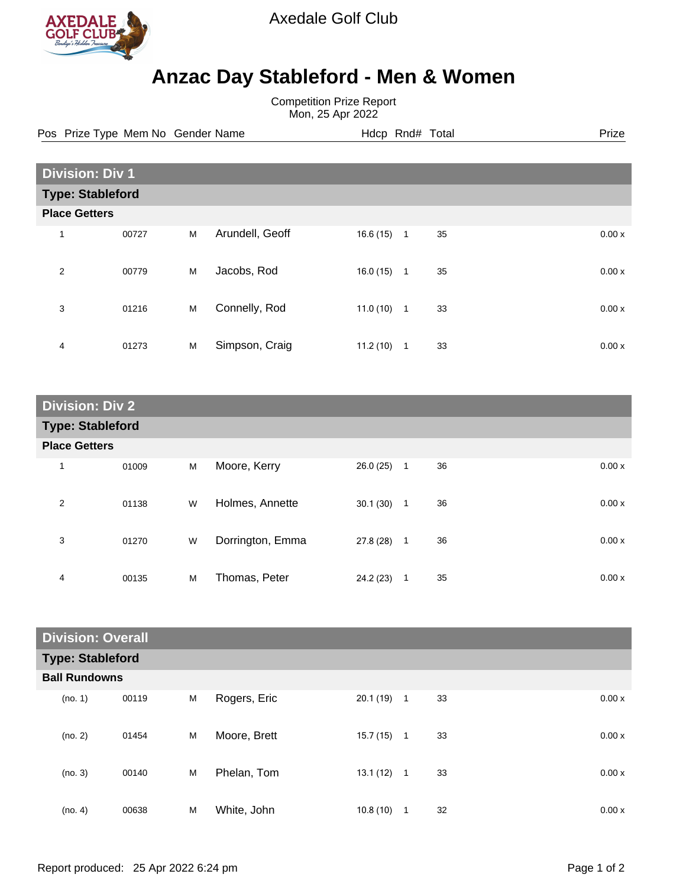

Axedale Golf Club

## **Anzac Day Stableford - Men & Women**

Competition Prize Report Mon, 25 Apr 2022

Pos Prize Type Mem No Gender Name **Hdcp Rnd# Total** Prize Prize

| <b>Division: Div 1</b>  |       |   |                 |           |                |    |  |       |
|-------------------------|-------|---|-----------------|-----------|----------------|----|--|-------|
| <b>Type: Stableford</b> |       |   |                 |           |                |    |  |       |
| <b>Place Getters</b>    |       |   |                 |           |                |    |  |       |
| 1                       | 00727 | M | Arundell, Geoff | 16.6 (15) | $\overline{1}$ | 35 |  | 0.00x |
| $\overline{2}$          | 00779 | M | Jacobs, Rod     | 16.0(15)  | $\mathbf{1}$   | 35 |  | 0.00x |
| 3                       | 01216 | M | Connelly, Rod   | 11.0(10)  | $\overline{1}$ | 33 |  | 0.00x |
| 4                       | 01273 | M | Simpson, Craig  | 11.2(10)  | $\mathbf{1}$   | 33 |  | 0.00x |

| <b>Division: Div 2</b>  |       |   |                  |           |              |    |  |       |
|-------------------------|-------|---|------------------|-----------|--------------|----|--|-------|
| <b>Type: Stableford</b> |       |   |                  |           |              |    |  |       |
| <b>Place Getters</b>    |       |   |                  |           |              |    |  |       |
| $\mathbf 1$             | 01009 | M | Moore, Kerry     | 26.0(25)  | $\mathbf{1}$ | 36 |  | 0.00x |
| 2                       | 01138 | W | Holmes, Annette  | 30.1(30)  | $\mathbf{1}$ | 36 |  | 0.00x |
| 3                       | 01270 | W | Dorrington, Emma | 27.8 (28) | $\mathbf{1}$ | 36 |  | 0.00x |
| 4                       | 00135 | M | Thomas, Peter    | 24.2 (23) | 1            | 35 |  | 0.00x |

| <b>Division: Overall</b> |       |   |              |              |   |    |       |
|--------------------------|-------|---|--------------|--------------|---|----|-------|
| <b>Type: Stableford</b>  |       |   |              |              |   |    |       |
| <b>Ball Rundowns</b>     |       |   |              |              |   |    |       |
| (no. 1)                  | 00119 | M | Rogers, Eric | $20.1(19)$ 1 |   | 33 | 0.00x |
| (no. 2)                  | 01454 | M | Moore, Brett | 15.7(15)     | 1 | 33 | 0.00x |
| (no. 3)                  | 00140 | M | Phelan, Tom  | $13.1(12)$ 1 |   | 33 | 0.00x |
| (no. 4)                  | 00638 | M | White, John  | 10.8(10)     | 1 | 32 | 0.00x |